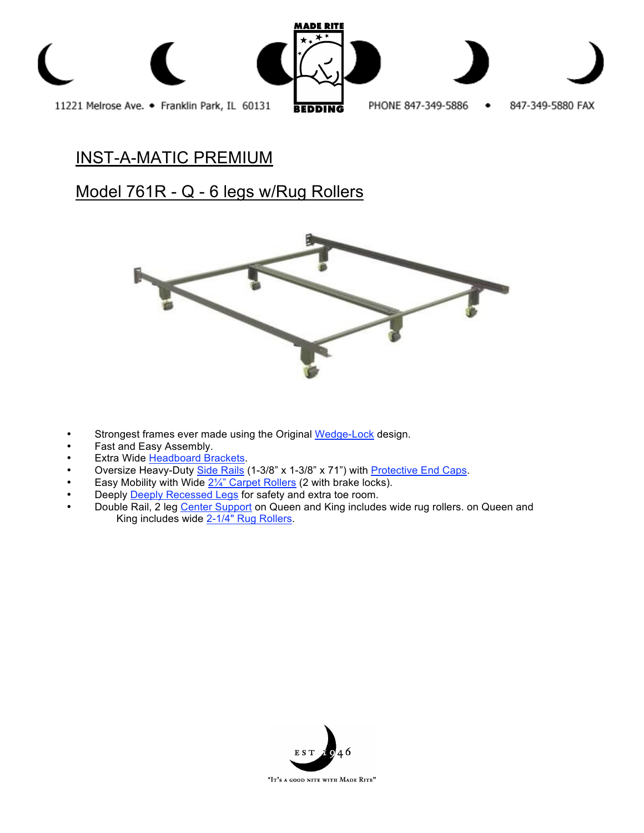

# INST-A-MATIC PREMIUM

## Model 761R - Q - 6 legs w/Rug Rollers



- Strongest frames ever made using the Original Wedge-Lock design.
- Fast and Easy Assembly.
- **Extra Wide Headboard Brackets.**
- Oversize Heavy-Duty Side Rails (1-3/8" x 1-3/8" x 71") with Protective End Caps.
- Easy Mobility with Wide  $2\frac{1}{4}$ " Carpet Rollers (2 with brake locks).
- Deeply **Deeply Recessed Legs** for safety and extra toe room.
- Double Rail, 2 leg Center Support on Queen and King includes wide rug rollers. on Queen and King includes wide 2-1/4" Rug Rollers.

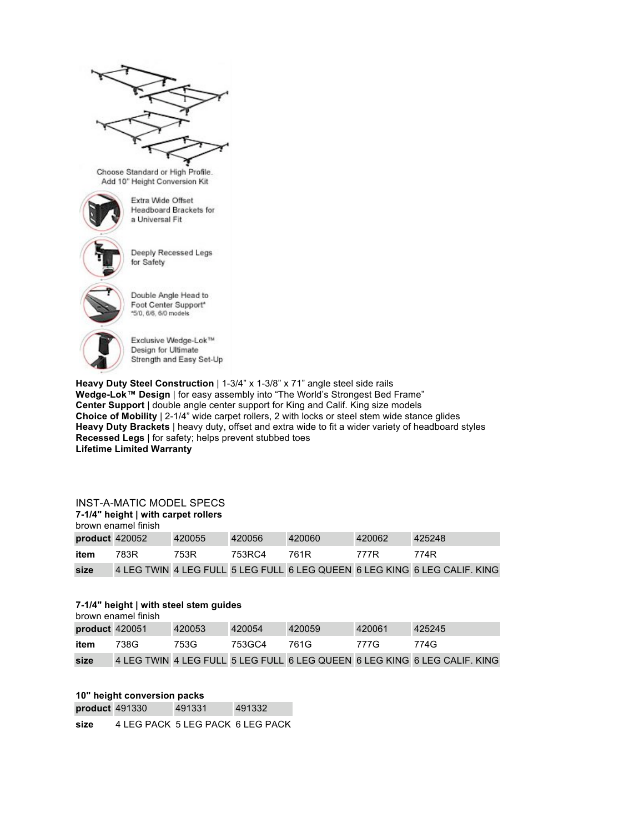

Choose Standard or High Profile. Add 10" Height Conversion Kit



Extra Wide Offset **Headboard Brackets for** a Universal Fit



Deeply Recessed Legs for Safety



Double Angle Head to Foot Center Support\* \*5/0, 6/6, 6/0 models



Exclusive Wedge-Lok™ Design for Ultimate Strength and Easy Set-Up

**Heavy Duty Steel Construction** | 1-3/4" x 1-3/8" x 71" angle steel side rails **Wedge-Lok™ Design** | for easy assembly into "The World's Strongest Bed Frame" **Center Support** | double angle center support for King and Calif. King size models **Choice of Mobility** | 2-1/4" wide carpet rollers, 2 with locks or steel stem wide stance glides **Heavy Duty Brackets** | heavy duty, offset and extra wide to fit a wider variety of headboard styles **Recessed Legs** | for safety; helps prevent stubbed toes **Lifetime Limited Warranty**

#### INST-A-MATIC MODEL SPECS

## **7-1/4" height | with carpet rollers** brown enamel finish **product** 420052 420055 420056 420060 420062 425248 **item** 783R 753R 753RC4 761R 777R 774R **size** 4 LEG TWIN 4 LEG FULL 5 LEG FULL 6 LEG QUEEN 6 LEG KING 6 LEG CALIF. KING

#### **7-1/4" height | with steel stem guides**

| brown enamel finish |      |        |        |        |        |                                                                           |
|---------------------|------|--------|--------|--------|--------|---------------------------------------------------------------------------|
| product 420051      |      | 420053 | 420054 | 420059 | 420061 | 425245                                                                    |
| item                | 738G | 753G   | 753GC4 | 761G   | 777G   | 774G                                                                      |
| size                |      |        |        |        |        | 4 LEG TWIN 4 LEG FULL 5 LEG FULL 6 LEG QUEEN 6 LEG KING 6 LEG CALIF. KING |

### **10" height conversion packs**

**product** 491330 491331 491332

**size** 4 LEG PACK 5 LEG PACK 6 LEG PACK